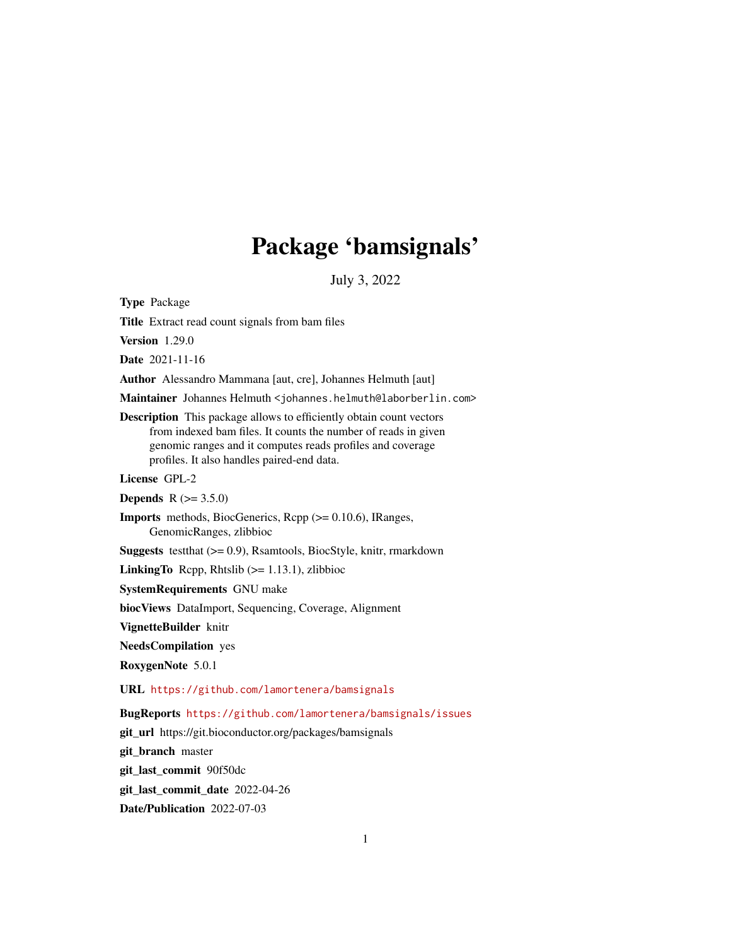# Package 'bamsignals'

July 3, 2022

Type Package

Title Extract read count signals from bam files

Version 1.29.0

Date 2021-11-16

Author Alessandro Mammana [aut, cre], Johannes Helmuth [aut]

Maintainer Johannes Helmuth <johannes.helmuth@laborberlin.com>

Description This package allows to efficiently obtain count vectors from indexed bam files. It counts the number of reads in given genomic ranges and it computes reads profiles and coverage profiles. It also handles paired-end data.

License GPL-2

**Depends** R  $(>= 3.5.0)$ 

Imports methods, BiocGenerics, Rcpp (>= 0.10.6), IRanges, GenomicRanges, zlibbioc

Suggests testthat (>= 0.9), Rsamtools, BiocStyle, knitr, rmarkdown

**LinkingTo** Repp, Rhtslib  $(>= 1.13.1)$ , zlibbioc

SystemRequirements GNU make

biocViews DataImport, Sequencing, Coverage, Alignment

VignetteBuilder knitr

NeedsCompilation yes

RoxygenNote 5.0.1

URL <https://github.com/lamortenera/bamsignals>

BugReports <https://github.com/lamortenera/bamsignals/issues>

git\_url https://git.bioconductor.org/packages/bamsignals

git branch master

git\_last\_commit 90f50dc

git last commit date 2022-04-26

Date/Publication 2022-07-03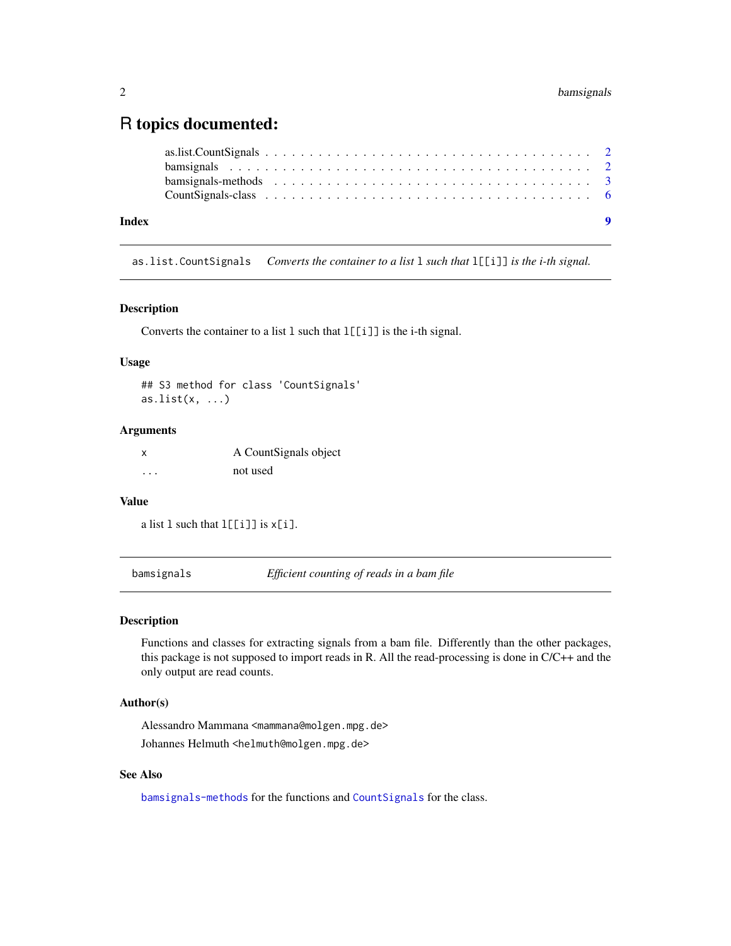# <span id="page-1-0"></span>R topics documented:

| Index | $\bullet$ |
|-------|-----------|

as.list.CountSignals *Converts the container to a list* l *such that* l[[i]] *is the i-th signal.*

# Description

Converts the container to a list l such that l[[i]] is the i-th signal.

# Usage

```
## S3 method for class 'CountSignals'
as.list(x, \ldots)
```
#### Arguments

| x        | A CountSignals object |
|----------|-----------------------|
| $\cdots$ | not used              |

#### Value

```
a list 1 such that l[[i]] is x[i].
```
bamsignals *Efficient counting of reads in a bam file*

#### Description

Functions and classes for extracting signals from a bam file. Differently than the other packages, this package is not supposed to import reads in R. All the read-processing is done in C/C++ and the only output are read counts.

# Author(s)

Alessandro Mammana <mammana@molgen.mpg.de> Johannes Helmuth <helmuth@molgen.mpg.de>

#### See Also

[bamsignals-methods](#page-2-1) for the functions and [CountSignals](#page-5-1) for the class.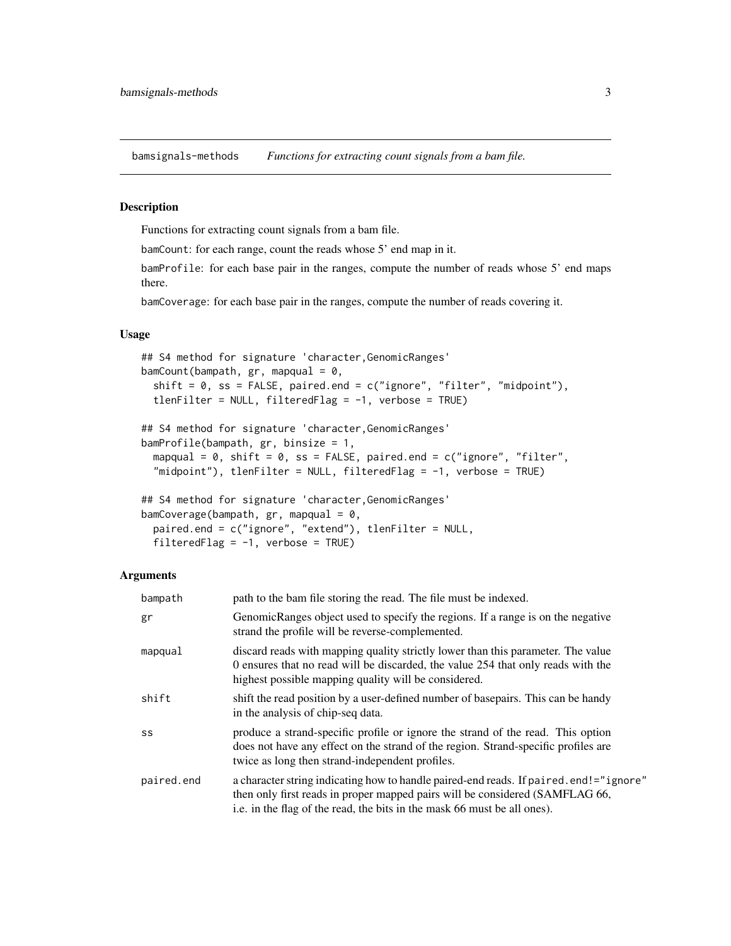<span id="page-2-1"></span><span id="page-2-0"></span>bamsignals-methods *Functions for extracting count signals from a bam file.*

#### Description

Functions for extracting count signals from a bam file.

bamCount: for each range, count the reads whose 5' end map in it.

bamProfile: for each base pair in the ranges, compute the number of reads whose 5' end maps there.

bamCoverage: for each base pair in the ranges, compute the number of reads covering it.

#### Usage

```
## S4 method for signature 'character,GenomicRanges'
bamCount(bampath, gr, mapqual = 0,
  shift = 0, ss = FALSE, paired.end = c("ignore", "filter", "midpoint"),
  tlenFilter = NULL, filteredFlag = -1, verbose = TRUE)
## S4 method for signature 'character,GenomicRanges'
bamProfile(bampath, gr, binsize = 1,
 mapqual = 0, shift = 0, ss = FALSE, paired.end = c("ignore", "filter","midpoint"), tlenFilter = NULL, filteredFlag = -1, verbose = TRUE)
```
## S4 method for signature 'character,GenomicRanges' bamCoverage(bampath,  $gr$ , mapqual =  $0$ , paired.end = c("ignore", "extend"), tlenFilter = NULL, filteredFlag =  $-1$ , verbose = TRUE)

### **Arguments**

| bampath    | path to the bam file storing the read. The file must be indexed.                                                                                                                                                                                  |
|------------|---------------------------------------------------------------------------------------------------------------------------------------------------------------------------------------------------------------------------------------------------|
| gr         | GenomicRanges object used to specify the regions. If a range is on the negative<br>strand the profile will be reverse-complemented.                                                                                                               |
| mapqual    | discard reads with mapping quality strictly lower than this parameter. The value<br>0 ensures that no read will be discarded, the value 254 that only reads with the<br>highest possible mapping quality will be considered.                      |
| shift      | shift the read position by a user-defined number of basepairs. This can be handy<br>in the analysis of chip-seq data.                                                                                                                             |
| SS         | produce a strand-specific profile or ignore the strand of the read. This option<br>does not have any effect on the strand of the region. Strand-specific profiles are<br>twice as long then strand-independent profiles.                          |
| paired.end | a character string indicating how to handle paired-end reads. If paired.end!="ignore"<br>then only first reads in proper mapped pairs will be considered (SAMFLAG 66,<br>i.e. in the flag of the read, the bits in the mask 66 must be all ones). |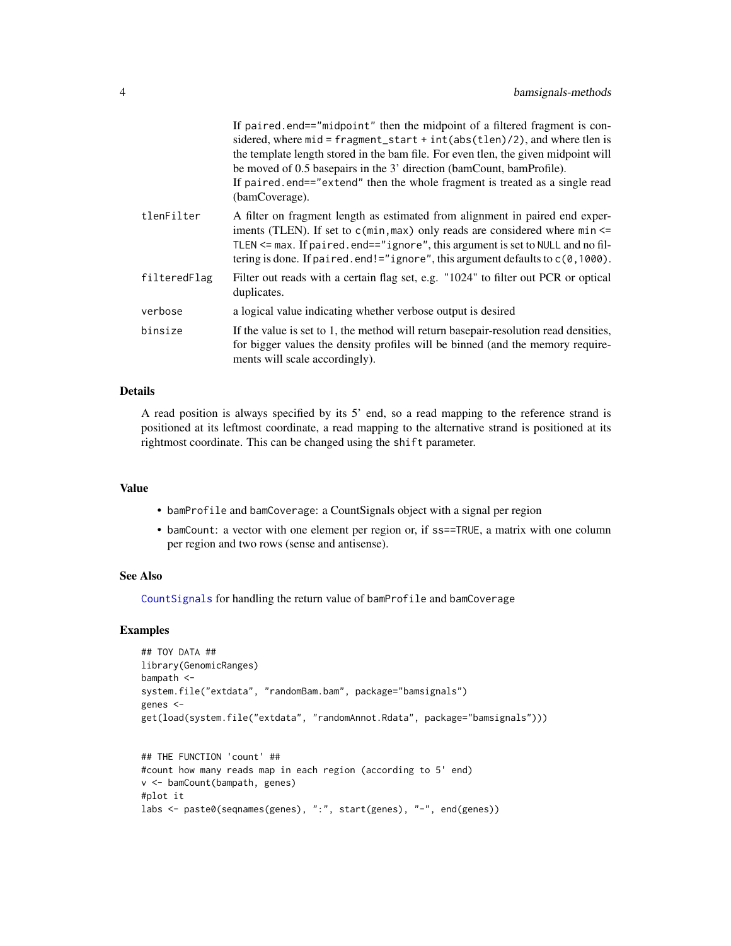<span id="page-3-0"></span>

|              | If paired end=="midpoint" then the midpoint of a filtered fragment is con-<br>sidered, where $mid = fragment\_start + int(abs(tlen)/2)$ , and where tlen is<br>the template length stored in the bam file. For even tlen, the given midpoint will<br>be moved of 0.5 basepairs in the 3' direction (bamCount, bamProfile).                  |
|--------------|---------------------------------------------------------------------------------------------------------------------------------------------------------------------------------------------------------------------------------------------------------------------------------------------------------------------------------------------|
|              | If paired end=="extend" then the whole fragment is treated as a single read<br>(bamCoverage).                                                                                                                                                                                                                                               |
| tlenFilter   | A filter on fragment length as estimated from alignment in paired end exper-<br>iments (TLEN). If set to $c(\min, \max)$ only reads are considered where $\min \le$<br>TLEN <= max. If paired.end=="ignore", this argument is set to NULL and no fil-<br>tering is done. If paired. end!="ignore", this argument defaults to $c(0, 1000)$ . |
| filteredFlag | Filter out reads with a certain flag set, e.g. "1024" to filter out PCR or optical<br>duplicates.                                                                                                                                                                                                                                           |
| verbose      | a logical value indicating whether verbose output is desired                                                                                                                                                                                                                                                                                |
| binsize      | If the value is set to 1, the method will return basepair-resolution read densities,<br>for bigger values the density profiles will be binned (and the memory require-<br>ments will scale accordingly).                                                                                                                                    |

#### Details

A read position is always specified by its 5' end, so a read mapping to the reference strand is positioned at its leftmost coordinate, a read mapping to the alternative strand is positioned at its rightmost coordinate. This can be changed using the shift parameter.

#### Value

- bamProfile and bamCoverage: a CountSignals object with a signal per region
- bamCount: a vector with one element per region or, if ss==TRUE, a matrix with one column per region and two rows (sense and antisense).

#### See Also

[CountSignals](#page-5-1) for handling the return value of bamProfile and bamCoverage

# Examples

```
## TOY DATA ##
library(GenomicRanges)
bampath <-
system.file("extdata", "randomBam.bam", package="bamsignals")
genes <-
get(load(system.file("extdata", "randomAnnot.Rdata", package="bamsignals")))
## THE FUNCTION 'count' ##
#count how many reads map in each region (according to 5' end)
v <- bamCount(bampath, genes)
#plot it
```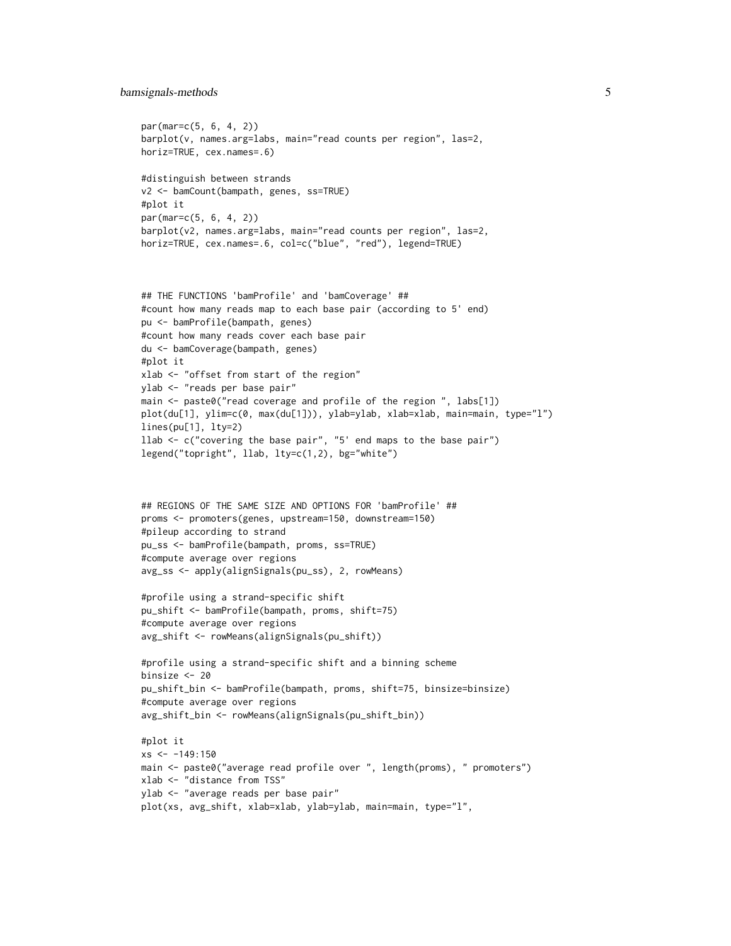#### bamsignals-methods 5

```
par(mar=c(5, 6, 4, 2))
barplot(v, names.arg=labs, main="read counts per region", las=2,
horiz=TRUE, cex.names=.6)
#distinguish between strands
v2 <- bamCount(bampath, genes, ss=TRUE)
#plot it
par(mar=c(5, 6, 4, 2))
barplot(v2, names.arg=labs, main="read counts per region", las=2,
horiz=TRUE, cex.names=.6, col=c("blue", "red"), legend=TRUE)
```

```
## THE FUNCTIONS 'bamProfile' and 'bamCoverage' ##
#count how many reads map to each base pair (according to 5' end)
pu <- bamProfile(bampath, genes)
#count how many reads cover each base pair
du <- bamCoverage(bampath, genes)
#plot it
xlab <- "offset from start of the region"
ylab <- "reads per base pair"
main <- paste0("read coverage and profile of the region ", labs[1])
plot(du[1], ylim=c(0, max(du[1])), ylab=ylab, xlab=xlab, main=main, type="l")
lines(pu[1], lty=2)
llab <- c("covering the base pair", "5' end maps to the base pair")
legend("topright", llab, lty=c(1,2), bg="white")
```

```
## REGIONS OF THE SAME SIZE AND OPTIONS FOR 'bamProfile' ##
proms <- promoters(genes, upstream=150, downstream=150)
#pileup according to strand
pu_ss <- bamProfile(bampath, proms, ss=TRUE)
#compute average over regions
avg_ss <- apply(alignSignals(pu_ss), 2, rowMeans)
```

```
#profile using a strand-specific shift
pu_shift <- bamProfile(bampath, proms, shift=75)
#compute average over regions
avg_shift <- rowMeans(alignSignals(pu_shift))
```

```
#profile using a strand-specific shift and a binning scheme
binsize <- 20
pu_shift_bin <- bamProfile(bampath, proms, shift=75, binsize=binsize)
#compute average over regions
avg_shift_bin <- rowMeans(alignSignals(pu_shift_bin))
```

```
#plot it
xs < -149:150main <- paste0("average read profile over ", length(proms), " promoters")
xlab <- "distance from TSS"
ylab <- "average reads per base pair"
plot(xs, avg_shift, xlab=xlab, ylab=ylab, main=main, type="l",
```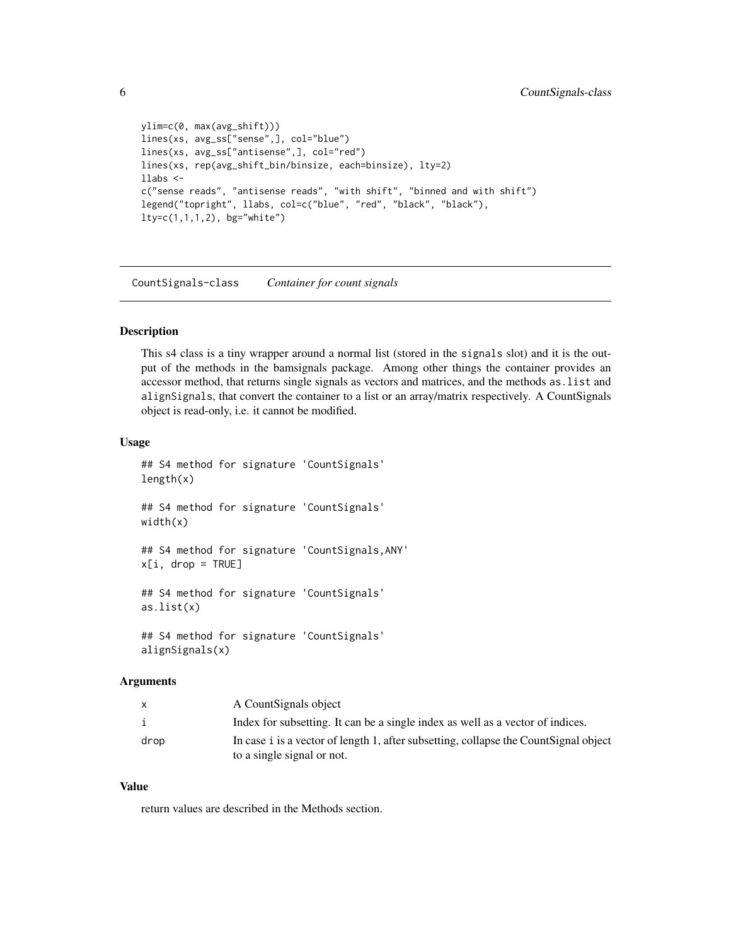```
ylim=c(0, max(avg_shift)))
lines(xs, avg_ss["sense",], col="blue")
lines(xs, avg_ss["antisense",], col="red")
lines(xs, rep(avg_shift_bin/binsize, each=binsize), lty=2)
llabs <-
c("sense reads", "antisense reads", "with shift", "binned and with shift")
legend("topright", llabs, col=c("blue", "red", "black", "black"),
lty=c(1,1,1,2), bg="white")
```
CountSignals-class *Container for count signals*

#### <span id="page-5-1"></span>Description

This s4 class is a tiny wrapper around a normal list (stored in the signals slot) and it is the output of the methods in the bamsignals package. Among other things the container provides an accessor method, that returns single signals as vectors and matrices, and the methods as.list and alignSignals, that convert the container to a list or an array/matrix respectively. A CountSignals object is read-only, i.e. it cannot be modified.

#### Usage

```
## S4 method for signature 'CountSignals'
length(x)
## S4 method for signature 'CountSignals'
width(x)
## S4 method for signature 'CountSignals,ANY'
x[i, drop = TRUE]## S4 method for signature 'CountSignals'
as.list(x)
## S4 method for signature 'CountSignals'
alignSignals(x)
```
#### Arguments

| X    | A CountSignals object                                                                |
|------|--------------------------------------------------------------------------------------|
| i    | Index for subsetting. It can be a single index as well as a vector of indices.       |
| drop | In case i is a vector of length 1, after subsetting, collapse the CountSignal object |
|      | to a single signal or not.                                                           |

#### Value

return values are described in the Methods section.

<span id="page-5-0"></span>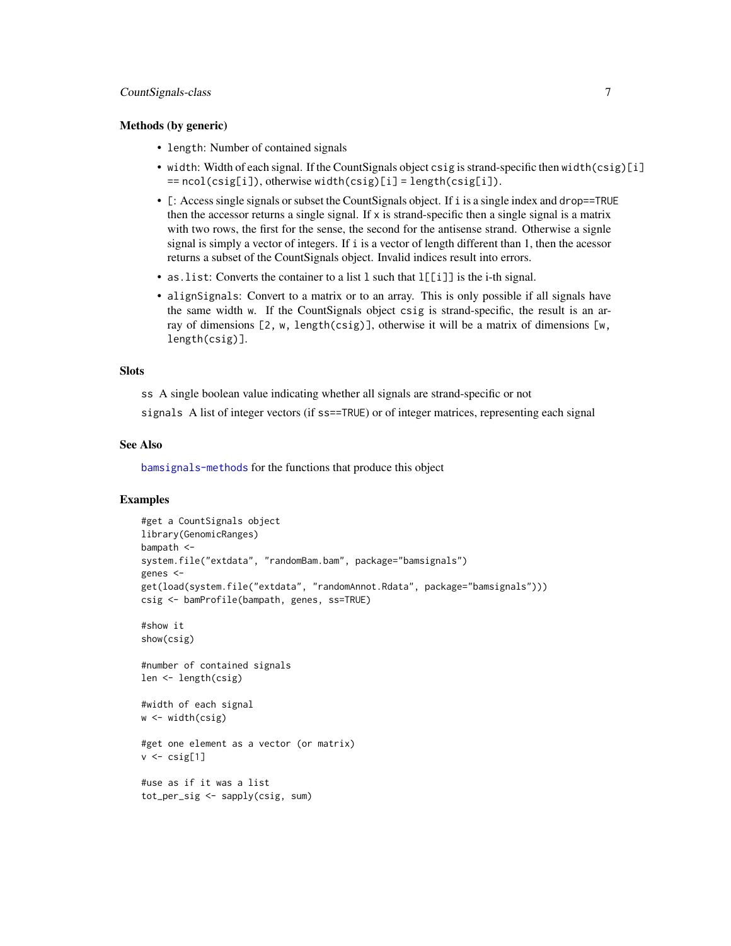#### CountSignals-class 7

#### Methods (by generic)

- length: Number of contained signals
- width: Width of each signal. If the CountSignals object csig is strand-specific then width(csig)[i] == ncol(csig[i]), otherwise width(csig)[i] = length(csig[i]).
- [: Access single signals or subset the CountSignals object. If i is a single index and drop==TRUE then the accessor returns a single signal. If x is strand-specific then a single signal is a matrix with two rows, the first for the sense, the second for the antisense strand. Otherwise a signle signal is simply a vector of integers. If i is a vector of length different than 1, then the acessor returns a subset of the CountSignals object. Invalid indices result into errors.
- as. list: Converts the container to a list 1 such that  $l[[i]]$  is the i-th signal.
- alignSignals: Convert to a matrix or to an array. This is only possible if all signals have the same width w. If the CountSignals object csig is strand-specific, the result is an array of dimensions [2, w, length(csig)], otherwise it will be a matrix of dimensions [w, length(csig)].

#### Slots

ss A single boolean value indicating whether all signals are strand-specific or not

signals A list of integer vectors (if ss==TRUE) or of integer matrices, representing each signal

#### See Also

[bamsignals-methods](#page-2-1) for the functions that produce this object

#### Examples

```
#get a CountSignals object
library(GenomicRanges)
bampath <-
system.file("extdata", "randomBam.bam", package="bamsignals")
genes <-
get(load(system.file("extdata", "randomAnnot.Rdata", package="bamsignals")))
csig <- bamProfile(bampath, genes, ss=TRUE)
#show it
show(csig)
#number of contained signals
len <- length(csig)
#width of each signal
w \leftarrow \text{width}(csig)#get one element as a vector (or matrix)
v \leftarrow \text{csig}[1]#use as if it was a list
tot_per_sig <- sapply(csig, sum)
```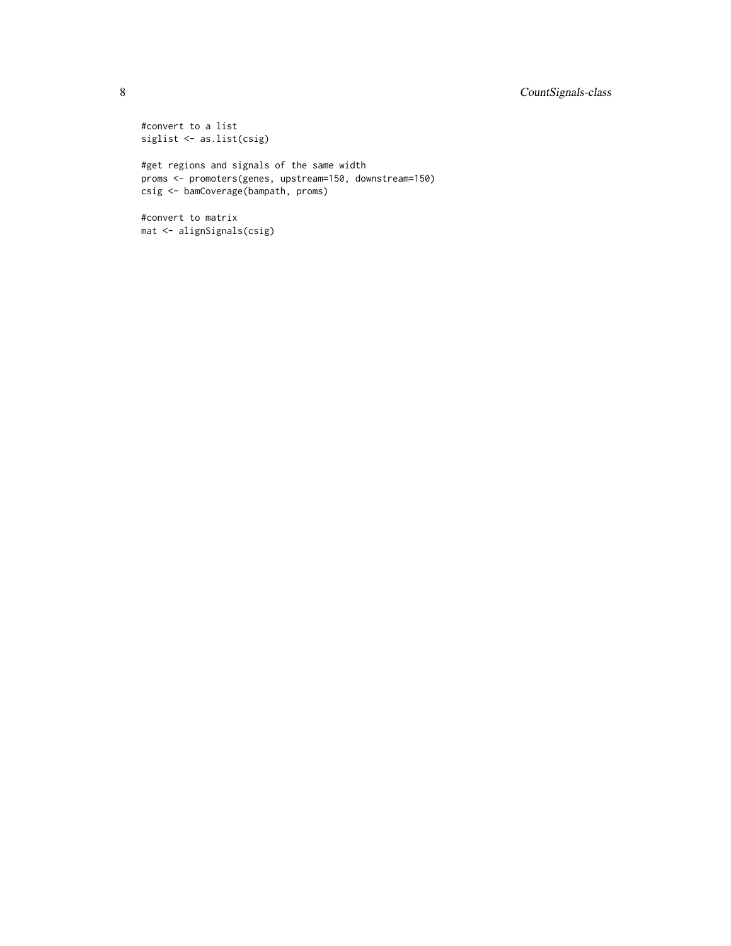# 8 CountSignals-class

#convert to a list siglist <- as.list(csig)

#get regions and signals of the same width proms <- promoters(genes, upstream=150, downstream=150) csig <- bamCoverage(bampath, proms)

#convert to matrix mat <- alignSignals(csig)